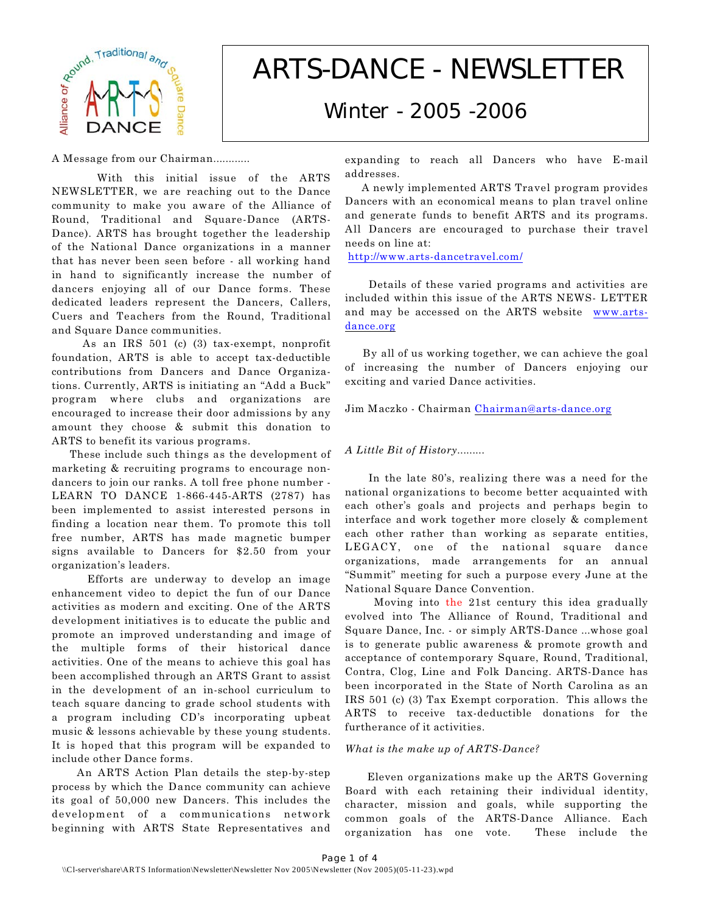

# *ARTS-DANCE - NEWSLETTER*

# *Winter - 2005 -2006*

A Message from our Chairman............

 With this initial issue of the ARTS NEWSLETTER, we are reaching out to the Dance community to make you aware of the Alliance of Round, Traditional and Square-Dance (ARTS-Dance). ARTS has brought together the leadership of the National Dance organizations in a manner that has never been seen before - all working hand in hand to significantly increase the number of dancers enjoying all of our Dance forms. These dedicated leaders represent the Dancers, Callers, Cuers and Teachers from the Round, Traditional and Square Dance communities.

 As an IRS 501 (c) (3) tax-exempt, nonprofit foundation, ARTS is able to accept tax-deductible contributions from Dancers and Dance Organizations. Currently, ARTS is initiating an "Add a Buck" program where clubs and organizations are encouraged to increase their door admissions by any amount they choose & submit this donation to ARTS to benefit its various programs.

 These include such things as the development of marketing & recruiting programs to encourage nondancers to join our ranks. A toll free phone number - LEARN TO DANCE 1-866-445-ARTS (2787) has been implemented to assist interested persons in finding a location near them. To promote this toll free number, ARTS has made magnetic bumper signs available to Dancers for \$2.50 from your organization's leaders.

 Efforts are underway to develop an image enhancement video to depict the fun of our Dance activities as modern and exciting. One of the ARTS development initiatives is to educate the public and promote an improved understanding and image of the multiple forms of their historical dance activities. One of the means to achieve this goal has been accomplished through an ARTS Grant to assist in the development of an in-school curriculum to teach square dancing to grade school students with a program including CD's incorporating upbeat music & lessons achievable by these young students. It is hoped that this program will be expanded to include other Dance forms.

 An ARTS Action Plan details the step-by-step process by which the Dance community can achieve its goal of 50,000 new Dancers. This includes the development of a communications network beginning with ARTS State Representatives and

expanding to reach all Dancers who have E-mail addresses.

 A newly implemented ARTS Travel program provides Dancers with an economical means to plan travel online and generate funds to benefit ARTS and its programs. All Dancers are encouraged to purchase their travel needs on line at:

<http://www.arts-dancetravel.com/>

 Details of these varied programs and activities are included within this issue of the ARTS NEWS- LETTER and may be accessed on the ARTS website [www.arts](http://www.arts-dance.org)[dance.org](http://www.arts-dance.org)

 By all of us working together, we can achieve the goal of increasing the number of Dancers enjoying our exciting and varied Dance activities.

Jim Maczko - Chairman [Chairman@arts-dance.org](mailto:Chairman@arts-dance.org)

## *A Little Bit of History.........*

 In the late 80's, realizing there was a need for the national organizations to become better acquainted with each other's goals and projects and perhaps begin to interface and work together more closely & complement each other rather than working as separate entities, LEGACY, one of the national square dance organizations, made arrangements for an annual "Summit" meeting for such a purpose every June at the National Square Dance Convention.

 Moving into the 21st century this idea gradually evolved into The Alliance of Round, Traditional and Square Dance, Inc. - or simply ARTS-Dance ...whose goal is to generate public awareness & promote growth and acceptance of contemporary Square, Round, Traditional, Contra, Clog, Line and Folk Dancing. ARTS-Dance has been incorporated in the State of North Carolina as an IRS 501 (c) (3) Tax Exempt corporation. This allows the ARTS to receive tax-deductible donations for the furtherance of it activities.

### *What is the make up of ARTS-Dance?*

 Eleven organizations make up the ARTS Governing Board with each retaining their individual identity, character, mission and goals, while supporting the common goals of the ARTS-Dance Alliance. Each organization has one vote. These include the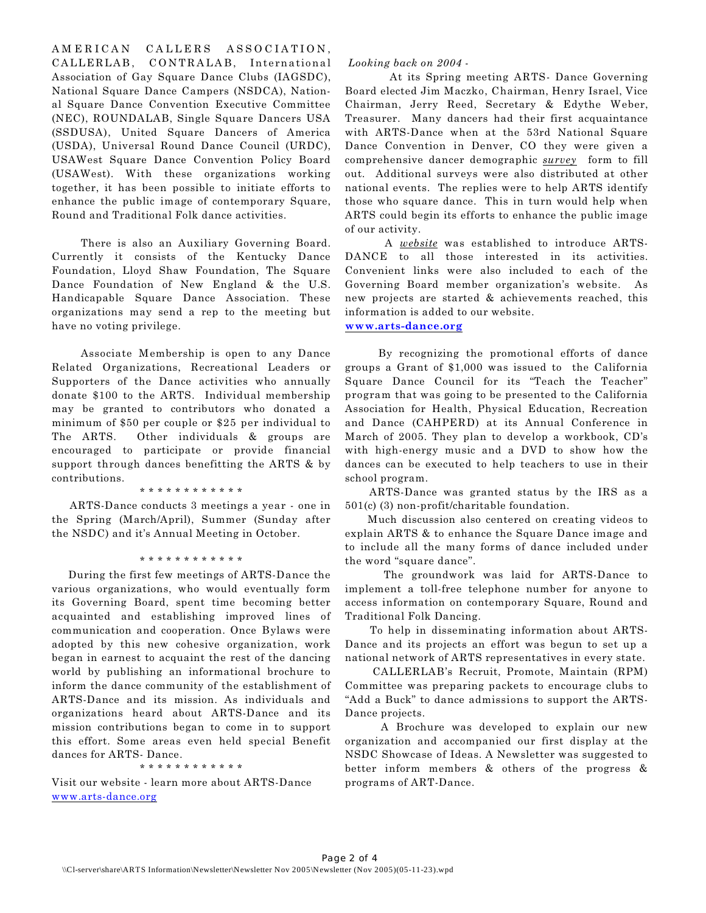AMERICAN CALLERS ASSOCIATION, CALLERLAB, CONTRALAB, International Association of Gay Square Dance Clubs (IAGSDC), National Square Dance Campers (NSDCA), National Square Dance Convention Executive Committee (NEC), ROUNDALAB, Single Square Dancers USA (SSDUSA), United Square Dancers of America (USDA), Universal Round Dance Council (URDC), USAWest Square Dance Convention Policy Board (USAWest). With these organizations working together, it has been possible to initiate efforts to enhance the public image of contemporary Square, Round and Traditional Folk dance activities.

 There is also an Auxiliary Governing Board. Currently it consists of the Kentucky Dance Foundation, Lloyd Shaw Foundation, The Square Dance Foundation of New England & the U.S. Handicapable Square Dance Association. These organizations may send a rep to the meeting but have no voting privilege.

 Associate Membership is open to any Dance Related Organizations, Recreational Leaders or Supporters of the Dance activities who annually donate \$100 to the ARTS. Individual membership may be granted to contributors who donated a minimum of \$50 per couple or \$25 per individual to The ARTS. Other individuals & groups are encouraged to participate or provide financial support through dances benefitting the ARTS & by contributions.

\* \* \* \* \* \* \* \* \* \* \* \*

 ARTS-Dance conducts 3 meetings a year - one in the Spring (March/April), Summer (Sunday after the NSDC) and it's Annual Meeting in October.

\* \* \* \* \* \* \* \* \* \* \* \*

 During the first few meetings of ARTS-Dance the various organizations, who would eventually form its Governing Board, spent time becoming better acquainted and establishing improved lines of communication and cooperation. Once Bylaws were adopted by this new cohesive organization, work began in earnest to acquaint the rest of the dancing world by publishing an informational brochure to inform the dance community of the establishment of ARTS-Dance and its mission. As individuals and organizations heard about ARTS-Dance and its mission contributions began to come in to support this effort. Some areas even held special Benefit dances for ARTS- Dance.

\* \* \* \* \* \* \* \* \* \* \* \*

Visit our website - learn more about ARTS-Dance [www.arts-dance.org](http://www.arts-dance.org)

#### *Looking back on 2004* -

 At its Spring meeting ARTS- Dance Governing Board elected Jim Maczko, Chairman, Henry Israel, Vice Chairman, Jerry Reed, Secretary & Edythe Weber, Treasurer. Many dancers had their first acquaintance with ARTS-Dance when at the 53rd National Square Dance Convention in Denver, CO they were given a comprehensive dancer demographic *survey* form to fill out. Additional surveys were also distributed at other national events. The replies were to help ARTS identify those who square dance. This in turn would help when ARTS could begin its efforts to enhance the public image of our activity.

 A *website* was established to introduce ARTS-DANCE to all those interested in its activities. Convenient links were also included to each of the Governing Board member organization's website. As new projects are started & achievements reached, this information is added to our website.

#### **[www.arts-dance.org](http://www.arts-dance.com)**

 By recognizing the promotional efforts of dance groups a Grant of \$1,000 was issued to the California Square Dance Council for its "Teach the Teacher" program that was going to be presented to the California Association for Health, Physical Education, Recreation and Dance (CAHPERD) at its Annual Conference in March of 2005. They plan to develop a workbook, CD's with high-energy music and a DVD to show how the dances can be executed to help teachers to use in their school program.

 ARTS-Dance was granted status by the IRS as a 501(c) (3) non-profit/charitable foundation.

 Much discussion also centered on creating videos to explain ARTS & to enhance the Square Dance image and to include all the many forms of dance included under the word "square dance".

 The groundwork was laid for ARTS-Dance to implement a toll-free telephone number for anyone to access information on contemporary Square, Round and Traditional Folk Dancing.

 To help in disseminating information about ARTS-Dance and its projects an effort was begun to set up a national network of ARTS representatives in every state.

 CALLERLAB's Recruit, Promote, Maintain (RPM) Committee was preparing packets to encourage clubs to "Add a Buck" to dance admissions to support the ARTS-Dance projects.

 A Brochure was developed to explain our new organization and accompanied our first display at the NSDC Showcase of Ideas. A Newsletter was suggested to better inform members & others of the progress & programs of ART-Dance.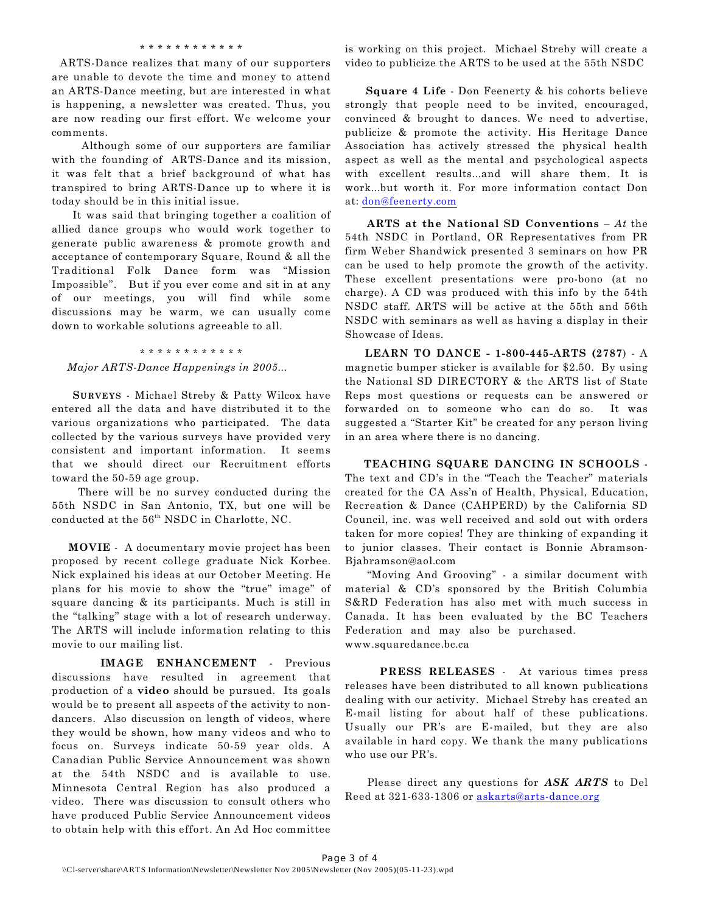#### \* \* \* \* \* \* \* \* \* \* \* \*

 ARTS-Dance realizes that many of our supporters are unable to devote the time and money to attend an ARTS-Dance meeting, but are interested in what is happening, a newsletter was created. Thus, you are now reading our first effort. We welcome your comments.

 Although some of our supporters are familiar with the founding of ARTS-Dance and its mission, it was felt that a brief background of what has transpired to bring ARTS-Dance up to where it is today should be in this initial issue.

 It was said that bringing together a coalition of allied dance groups who would work together to generate public awareness & promote growth and acceptance of contemporary Square, Round & all the Traditional Folk Dance form was "Mission Impossible". But if you ever come and sit in at any of our meetings, you will find while some discussions may be warm, we can usually come down to workable solutions agreeable to all.

#### \* \* \* \* \* \* \* \* \* \* \* \*

*Major ARTS-Dance Happenings in 2005...*

 **SURVEYS** - Michael Streby & Patty Wilcox have entered all the data and have distributed it to the various organizations who participated. The data collected by the various surveys have provided very consistent and important information. It seems that we should direct our Recruitment efforts toward the 50-59 age group.

 There will be no survey conducted during the 55th NSDC in San Antonio, TX, but one will be conducted at the 56<sup>th</sup> NSDC in Charlotte, NC.

 **MOVIE** - A documentary movie project has been proposed by recent college graduate Nick Korbee. Nick explained his ideas at our October Meeting. He plans for his movie to show the "true" image" of square dancing & its participants. Much is still in the "talking" stage with a lot of research underway. The ARTS will include information relating to this movie to our mailing list.

 **IMAGE ENHANCEMENT** - Previous discussions have resulted in agreement that production of a **video** should be pursued. Its goals would be to present all aspects of the activity to nondancers. Also discussion on length of videos, where they would be shown, how many videos and who to focus on. Surveys indicate 50-59 year olds. A Canadian Public Service Announcement was shown at the 54th NSDC and is available to use. Minnesota Central Region has also produced a video. There was discussion to consult others who have produced Public Service Announcement videos to obtain help with this effort. An Ad Hoc committee

is working on this project. Michael Streby will create a video to publicize the ARTS to be used at the 55th NSDC

 **Square 4 Life** - Don Feenerty & his cohorts believe strongly that people need to be invited, encouraged, convinced & brought to dances. We need to advertise, publicize & promote the activity. His Heritage Dance Association has actively stressed the physical health aspect as well as the mental and psychological aspects with excellent results...and will share them. It is work...but worth it. For more information contact Don at: [don@feenerty.com](mailto:don@feenerty.com)

 **ARTS at the National SD Conventions** – *At* the 54th NSDC in Portland, OR Representatives from PR firm Weber Shandwick presented 3 seminars on how PR can be used to help promote the growth of the activity. These excellent presentations were pro-bono (at no charge). A CD was produced with this info by the 54th NSDC staff. ARTS will be active at the 55th and 56th NSDC with seminars as well as having a display in their Showcase of Ideas.

 **LEARN TO DANCE - 1-800-445-ARTS (2787**) - A magnetic bumper sticker is available for \$2.50. By using the National SD DIRECTORY & the ARTS list of State Reps most questions or requests can be answered or forwarded on to someone who can do so. It was suggested a "Starter Kit" be created for any person living in an area where there is no dancing.

 **TEACHING SQUARE DANCING IN SCHOOLS** - The text and CD's in the "Teach the Teacher" materials created for the CA Ass'n of Health, Physical, Education, Recreation & Dance (CAHPERD) by the California SD Council, inc. was well received and sold out with orders taken for more copies! They are thinking of expanding it to junior classes. Their contact is Bonnie Abramson-Bjabramson@aol.com

 "Moving And Grooving" - a similar document with material & CD's sponsored by the British Columbia S&RD Federation has also met with much success in Canada. It has been evaluated by the BC Teachers Federation and may also be purchased. www.squaredance.bc.ca

 **PRESS RELEASES** - At various times press releases have been distributed to all known publications dealing with our activity. Michael Streby has created an E-mail listing for about half of these publications. Usually our PR's are E-mailed, but they are also available in hard copy. We thank the many publications who use our PR's.

 Please direct any questions for *ASK ARTS* to Del Reed at 321-633-1306 or [askarts@arts-dance.org](mailto:askarts@arts-dance.org)